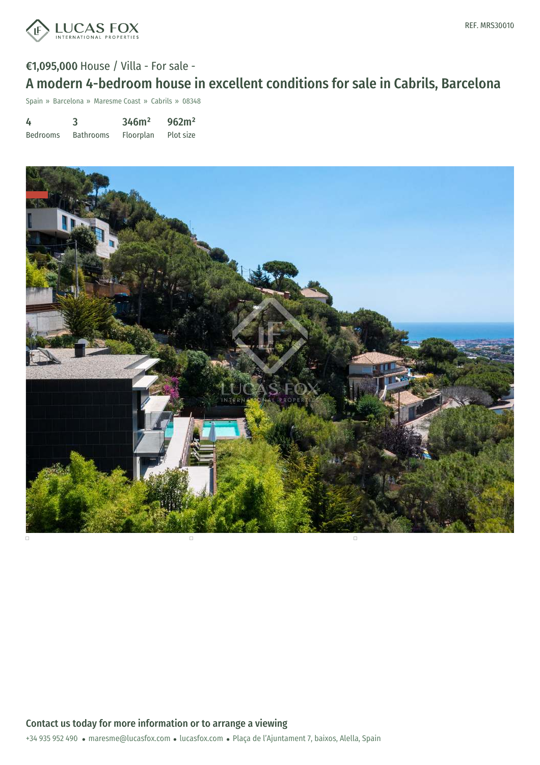

Spain » Barcelona » Maresme Coast » Cabrils » 08348

| 4               | 3                | 346m <sup>2</sup> | 962m <sup>2</sup> |
|-----------------|------------------|-------------------|-------------------|
| <b>Bedrooms</b> | <b>Bathrooms</b> | Floorplan         | Plot size         |

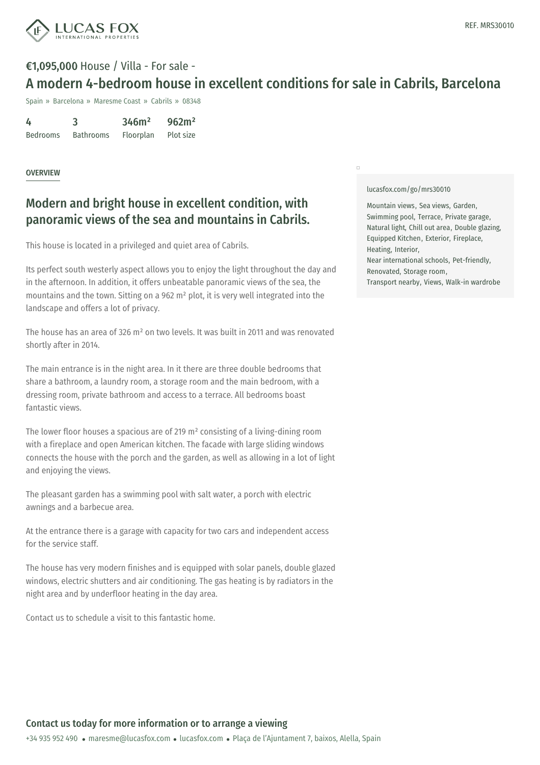

## €1,095,000 House / Villa - For sale - A modern 4-bedroom house in excellent conditions for sale in Cabrils, Barcelona

Spain » Barcelona » Maresme Coast » Cabrils » 08348

| 4               | 3                | 346m <sup>2</sup> | 962m <sup>2</sup> |
|-----------------|------------------|-------------------|-------------------|
| <b>Bedrooms</b> | <b>Bathrooms</b> | Floorplan         | Plot size         |

### **OVERVIEW**

## Modern and bright house in excellent condition, with panoramic views of the sea and mountains in Cabrils.

This house is located in a privileged and quiet area of Cabrils.

Its perfect south westerly aspect allows you to enjoy the light throughout the day and in the afternoon. In addition, it offers unbeatable panoramic views of the sea, the mountains and the town. Sitting on a 962 m² plot, it is very well integrated into the landscape and offers a lot of privacy.

The house has an area of 326 m² on two levels. It was built in 2011 and was renovated shortly after in 2014.

The main entrance is in the night area. In it there are three double bedrooms that share a bathroom, a laundry room, a storage room and the main bedroom, with a dressing room, private bathroom and access to a terrace. All bedrooms boast fantastic views.

The lower floor houses a spacious are of 219 m² consisting of a living-dining room with a fireplace and open American kitchen. The facade with large sliding windows connects the house with the porch and the garden, as well as allowing in a lot of light and enjoying the views.

The pleasant garden has a swimming pool with salt water, a porch with electric awnings and a barbecue area.

At the entrance there is a garage with capacity for two cars and independent access for the service staff.

The house has very modern [finishes](mailto:maresme@lucasfox.com) and is [equipped](https://www.lucasfox.com) with solar panels, double glazed windows, electric shutters and air conditioning. The gas heating is by radiators in the night area and by underfloor heating in the day area.

Contact us to schedule a visit to this fantastic home.

#### [lucasfox.com/go/mrs30010](https://www.lucasfox.com/go/mrs30010)

 $\Box$ 

Mountain views, Sea views, Garden, Swimming pool, Terrace, Private garage, Natural light, Chill out area, Double glazing, Equipped Kitchen, Exterior, Fireplace, Heating, Interior, Near international schools, Pet-friendly, Renovated, Storage room, Transport nearby, Views, Walk-in wardrobe